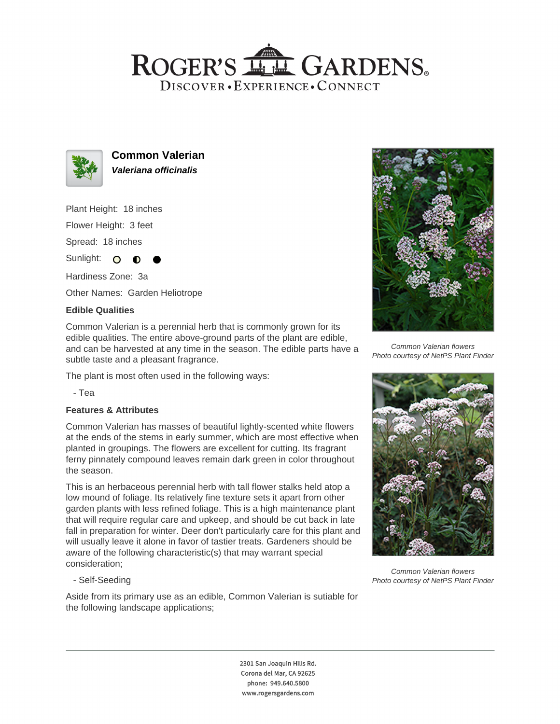## ROGER'S LL GARDENS. DISCOVER · EXPERIENCE · CONNECT



**Common Valerian Valeriana officinalis**

Plant Height: 18 inches Flower Height: 3 feet

Spread: 18 inches

Sunlight:  $\overline{O}$ ∩

Hardiness Zone: 3a

Other Names: Garden Heliotrope

### **Edible Qualities**

Common Valerian is a perennial herb that is commonly grown for its edible qualities. The entire above-ground parts of the plant are edible, and can be harvested at any time in the season. The edible parts have a subtle taste and a pleasant fragrance.

The plant is most often used in the following ways:

- Tea

#### **Features & Attributes**

Common Valerian has masses of beautiful lightly-scented white flowers at the ends of the stems in early summer, which are most effective when planted in groupings. The flowers are excellent for cutting. Its fragrant ferny pinnately compound leaves remain dark green in color throughout the season.

This is an herbaceous perennial herb with tall flower stalks held atop a low mound of foliage. Its relatively fine texture sets it apart from other garden plants with less refined foliage. This is a high maintenance plant that will require regular care and upkeep, and should be cut back in late fall in preparation for winter. Deer don't particularly care for this plant and will usually leave it alone in favor of tastier treats. Gardeners should be aware of the following characteristic(s) that may warrant special consideration;

- Self-Seeding

Aside from its primary use as an edible, Common Valerian is sutiable for the following landscape applications;



Common Valerian flowers Photo courtesy of NetPS Plant Finder



Common Valerian flowers Photo courtesy of NetPS Plant Finder

2301 San Joaquin Hills Rd. Corona del Mar, CA 92625 phone: 949.640.5800 www.rogersgardens.com